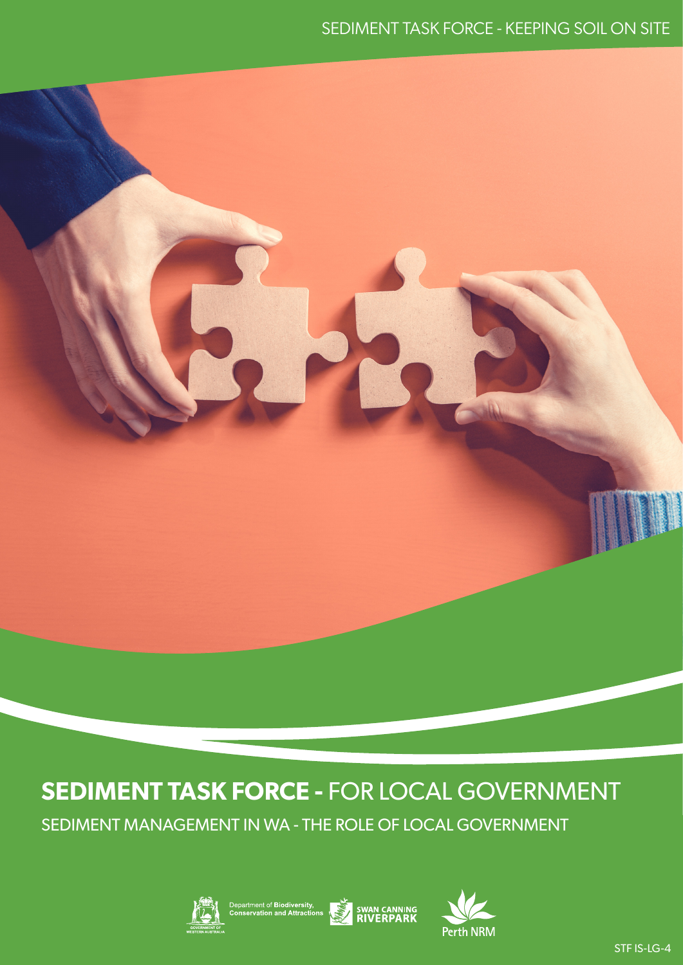# **SEDIMENT TASK FORCE -** FOR LOCAL GOVERNMENT

SEDIMENT MANAGEMENT IN WA - THE ROLE OF LOCAL GOVERNMENT





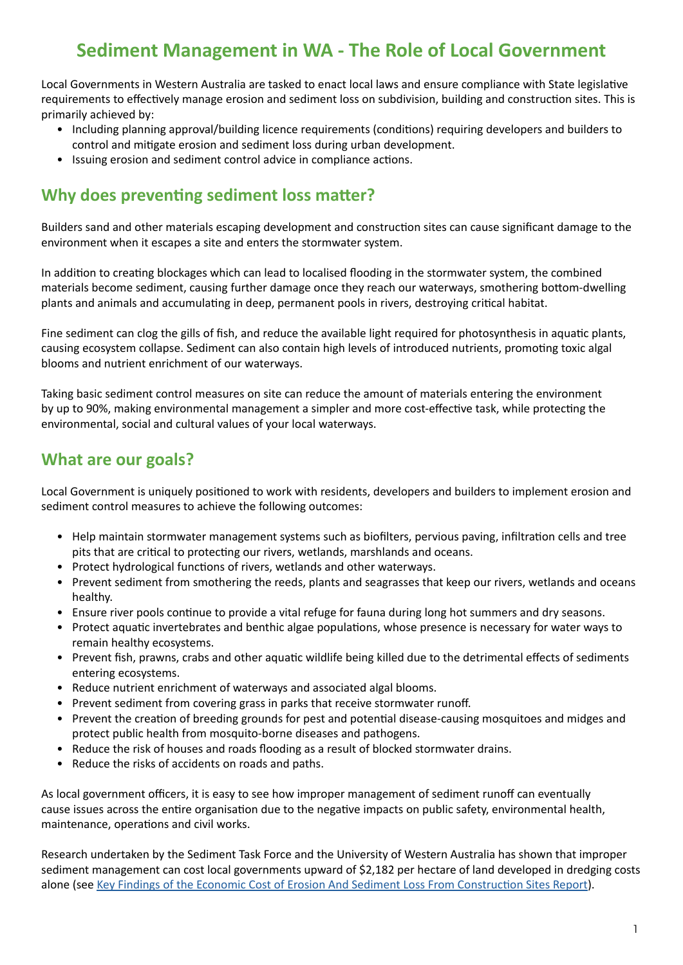## **Sediment Management in WA - The Role of Local Government**

Local Governments in Western Australia are tasked to enact local laws and ensure compliance with State legislative requirements to effectively manage erosion and sediment loss on subdivision, building and construction sites. This is primarily achieved by:

- Including planning approval/building licence requirements (conditions) requiring developers and builders to control and mitigate erosion and sediment loss during urban development.
- Issuing erosion and sediment control advice in compliance actions.

### **Why does preventing sediment loss matter?**

Builders sand and other materials escaping development and construction sites can cause significant damage to the environment when it escapes a site and enters the stormwater system.

In addition to creating blockages which can lead to localised flooding in the stormwater system, the combined materials become sediment, causing further damage once they reach our waterways, smothering bottom-dwelling plants and animals and accumulating in deep, permanent pools in rivers, destroying critical habitat.

Fine sediment can clog the gills of fish, and reduce the available light required for photosynthesis in aquatic plants, causing ecosystem collapse. Sediment can also contain high levels of introduced nutrients, promoting toxic algal blooms and nutrient enrichment of our waterways.

Taking basic sediment control measures on site can reduce the amount of materials entering the environment by up to 90%, making environmental management a simpler and more cost-effective task, while protecting the environmental, social and cultural values of your local waterways.

#### **What are our goals?**

Local Government is uniquely positioned to work with residents, developers and builders to implement erosion and sediment control measures to achieve the following outcomes:

- Help maintain stormwater management systems such as biofilters, pervious paving, infiltration cells and tree pits that are critical to protecting our rivers, wetlands, marshlands and oceans.
- Protect hydrological functions of rivers, wetlands and other waterways.
- Prevent sediment from smothering the reeds, plants and seagrasses that keep our rivers, wetlands and oceans healthy.
- Ensure river pools continue to provide a vital refuge for fauna during long hot summers and dry seasons.
- Protect aquatic invertebrates and benthic algae populations, whose presence is necessary for water ways to remain healthy ecosystems.
- Prevent fish, prawns, crabs and other aquatic wildlife being killed due to the detrimental effects of sediments entering ecosystems.
- Reduce nutrient enrichment of waterways and associated algal blooms.
- Prevent sediment from covering grass in parks that receive stormwater runoff.
- Prevent the creation of breeding grounds for pest and potential disease-causing mosquitoes and midges and protect public health from mosquito-borne diseases and pathogens.
- Reduce the risk of houses and roads flooding as a result of blocked stormwater drains.
- Reduce the risks of accidents on roads and paths.

As local government officers, it is easy to see how improper management of sediment runoff can eventually cause issues across the entire organisation due to the negative impacts on public safety, environmental health, maintenance, operations and civil works.

Research undertaken by the Sediment Task Force and the University of Western Australia has shown that improper sediment management can cost local governments upward of \$2,182 per hectare of land developed in dredging costs alone (see [Key Findings of the Economic Cost of Erosion And Sediment Loss From Construction Sites Report](https://bit.ly/3latfB1)).